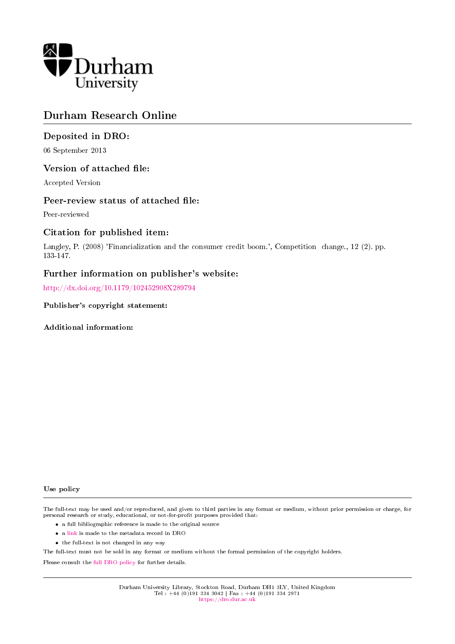

# Durham Research Online

### Deposited in DRO:

06 September 2013

### Version of attached file:

Accepted Version

### Peer-review status of attached file:

Peer-reviewed

### Citation for published item:

Langley, P. (2008) 'Financialization and the consumer credit boom.', Competition change., 12 (2). pp. 133-147.

### Further information on publisher's website:

<http://dx.doi.org/10.1179/102452908X289794>

Publisher's copyright statement:

Additional information:

#### Use policy

The full-text may be used and/or reproduced, and given to third parties in any format or medium, without prior permission or charge, for personal research or study, educational, or not-for-profit purposes provided that:

- a full bibliographic reference is made to the original source
- a [link](http://dro.dur.ac.uk/11327/) is made to the metadata record in DRO
- the full-text is not changed in any way

The full-text must not be sold in any format or medium without the formal permission of the copyright holders.

Please consult the [full DRO policy](https://dro.dur.ac.uk/policies/usepolicy.pdf) for further details.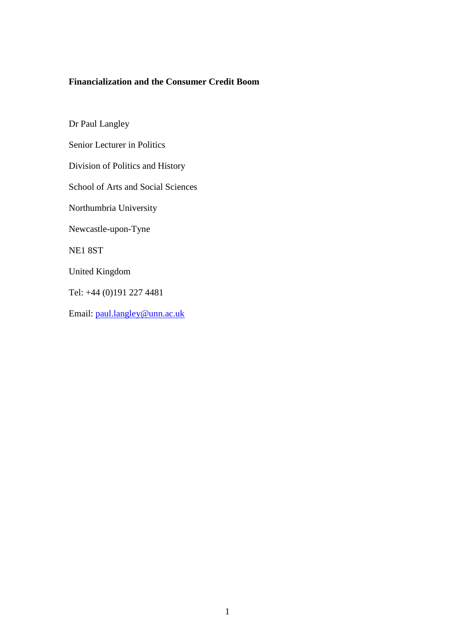## **Financialization and the Consumer Credit Boom**

Dr Paul Langley Senior Lecturer in Politics Division of Politics and History School of Arts and Social Sciences Northumbria University Newcastle-upon-Tyne NE1 8ST United Kingdom Tel: +44 (0)191 227 4481 Email: [paul.langley@unn.ac.uk](mailto:paul.langley@unn.ac.uk)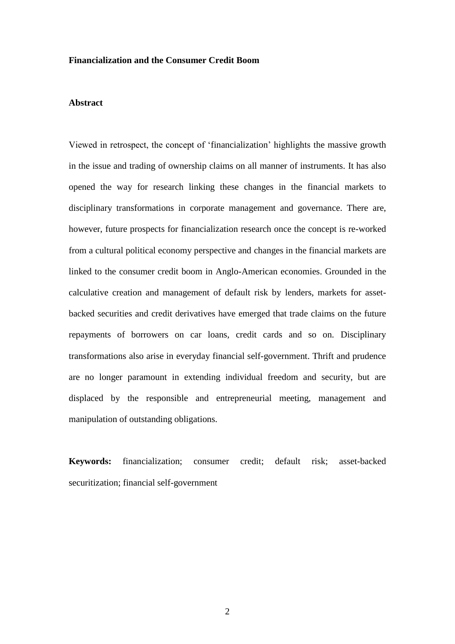### **Financialization and the Consumer Credit Boom**

#### **Abstract**

Viewed in retrospect, the concept of 'financialization' highlights the massive growth in the issue and trading of ownership claims on all manner of instruments. It has also opened the way for research linking these changes in the financial markets to disciplinary transformations in corporate management and governance. There are, however, future prospects for financialization research once the concept is re-worked from a cultural political economy perspective and changes in the financial markets are linked to the consumer credit boom in Anglo-American economies. Grounded in the calculative creation and management of default risk by lenders, markets for assetbacked securities and credit derivatives have emerged that trade claims on the future repayments of borrowers on car loans, credit cards and so on. Disciplinary transformations also arise in everyday financial self-government. Thrift and prudence are no longer paramount in extending individual freedom and security, but are displaced by the responsible and entrepreneurial meeting, management and manipulation of outstanding obligations.

**Keywords:** financialization; consumer credit; default risk; asset-backed securitization; financial self-government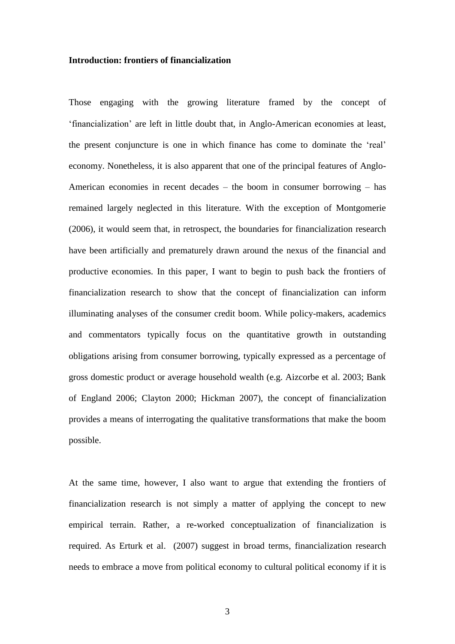#### **Introduction: frontiers of financialization**

Those engaging with the growing literature framed by the concept of 'financialization' are left in little doubt that, in Anglo-American economies at least, the present conjuncture is one in which finance has come to dominate the 'real' economy. Nonetheless, it is also apparent that one of the principal features of Anglo-American economies in recent decades – the boom in consumer borrowing – has remained largely neglected in this literature. With the exception of Montgomerie (2006), it would seem that, in retrospect, the boundaries for financialization research have been artificially and prematurely drawn around the nexus of the financial and productive economies. In this paper, I want to begin to push back the frontiers of financialization research to show that the concept of financialization can inform illuminating analyses of the consumer credit boom. While policy-makers, academics and commentators typically focus on the quantitative growth in outstanding obligations arising from consumer borrowing, typically expressed as a percentage of gross domestic product or average household wealth (e.g. Aizcorbe et al. 2003; Bank of England 2006; Clayton 2000; Hickman 2007), the concept of financialization provides a means of interrogating the qualitative transformations that make the boom possible.

At the same time, however, I also want to argue that extending the frontiers of financialization research is not simply a matter of applying the concept to new empirical terrain. Rather, a re-worked conceptualization of financialization is required. As Erturk et al. (2007) suggest in broad terms, financialization research needs to embrace a move from political economy to cultural political economy if it is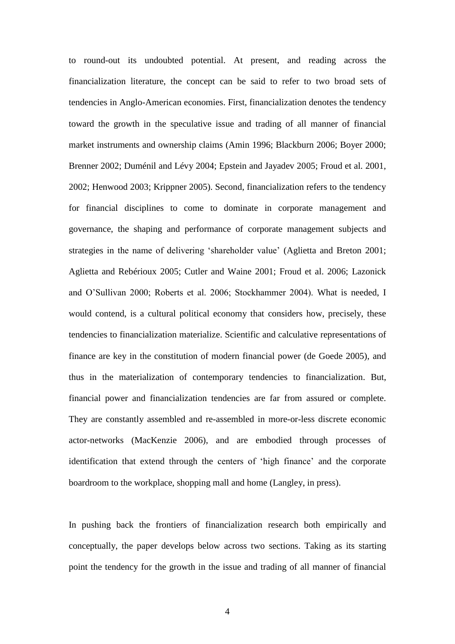to round-out its undoubted potential. At present, and reading across the financialization literature, the concept can be said to refer to two broad sets of tendencies in Anglo-American economies. First, financialization denotes the tendency toward the growth in the speculative issue and trading of all manner of financial market instruments and ownership claims (Amin 1996; Blackburn 2006; Boyer 2000; Brenner 2002; Duménil and Lévy 2004; Epstein and Jayadev 2005; Froud et al. 2001, 2002; Henwood 2003; Krippner 2005). Second, financialization refers to the tendency for financial disciplines to come to dominate in corporate management and governance, the shaping and performance of corporate management subjects and strategies in the name of delivering 'shareholder value' (Aglietta and Breton 2001; Aglietta and Rebérioux 2005; Cutler and Waine 2001; Froud et al. 2006; Lazonick and O'Sullivan 2000; Roberts et al. 2006; Stockhammer 2004). What is needed, I would contend, is a cultural political economy that considers how, precisely, these tendencies to financialization materialize. Scientific and calculative representations of finance are key in the constitution of modern financial power (de Goede 2005), and thus in the materialization of contemporary tendencies to financialization. But, financial power and financialization tendencies are far from assured or complete. They are constantly assembled and re-assembled in more-or-less discrete economic actor-networks (MacKenzie 2006), and are embodied through processes of identification that extend through the centers of 'high finance' and the corporate boardroom to the workplace, shopping mall and home (Langley, in press).

In pushing back the frontiers of financialization research both empirically and conceptually, the paper develops below across two sections. Taking as its starting point the tendency for the growth in the issue and trading of all manner of financial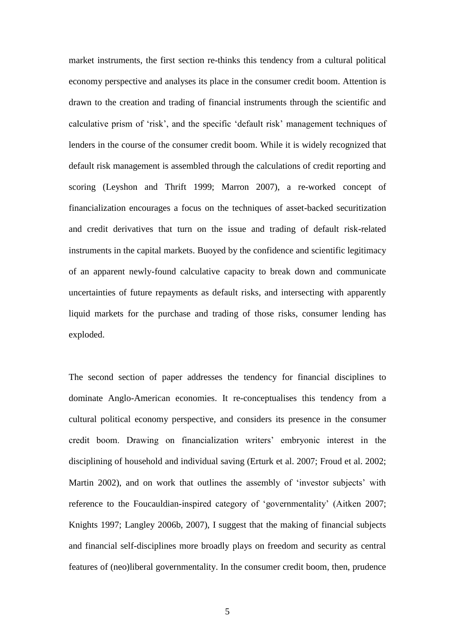market instruments, the first section re-thinks this tendency from a cultural political economy perspective and analyses its place in the consumer credit boom. Attention is drawn to the creation and trading of financial instruments through the scientific and calculative prism of 'risk', and the specific 'default risk' management techniques of lenders in the course of the consumer credit boom. While it is widely recognized that default risk management is assembled through the calculations of credit reporting and scoring (Leyshon and Thrift 1999; Marron 2007), a re-worked concept of financialization encourages a focus on the techniques of asset-backed securitization and credit derivatives that turn on the issue and trading of default risk-related instruments in the capital markets. Buoyed by the confidence and scientific legitimacy of an apparent newly-found calculative capacity to break down and communicate uncertainties of future repayments as default risks, and intersecting with apparently liquid markets for the purchase and trading of those risks, consumer lending has exploded.

The second section of paper addresses the tendency for financial disciplines to dominate Anglo-American economies. It re-conceptualises this tendency from a cultural political economy perspective, and considers its presence in the consumer credit boom. Drawing on financialization writers' embryonic interest in the disciplining of household and individual saving (Erturk et al. 2007; Froud et al. 2002; Martin 2002), and on work that outlines the assembly of 'investor subjects' with reference to the Foucauldian-inspired category of 'governmentality' (Aitken 2007; Knights 1997; Langley 2006b, 2007), I suggest that the making of financial subjects and financial self-disciplines more broadly plays on freedom and security as central features of (neo)liberal governmentality. In the consumer credit boom, then, prudence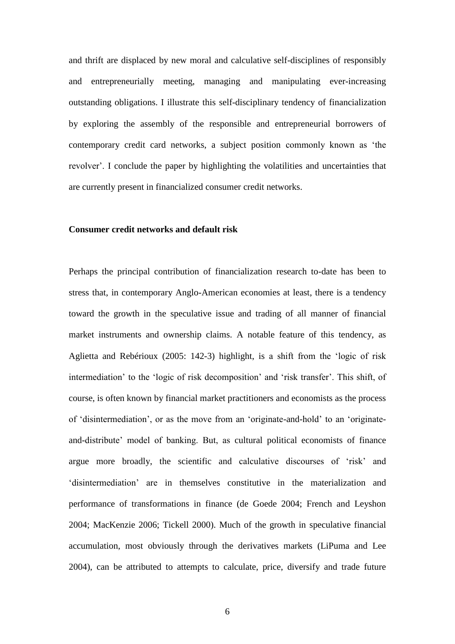and thrift are displaced by new moral and calculative self-disciplines of responsibly and entrepreneurially meeting, managing and manipulating ever-increasing outstanding obligations. I illustrate this self-disciplinary tendency of financialization by exploring the assembly of the responsible and entrepreneurial borrowers of contemporary credit card networks, a subject position commonly known as 'the revolver'. I conclude the paper by highlighting the volatilities and uncertainties that are currently present in financialized consumer credit networks.

#### **Consumer credit networks and default risk**

Perhaps the principal contribution of financialization research to-date has been to stress that, in contemporary Anglo-American economies at least, there is a tendency toward the growth in the speculative issue and trading of all manner of financial market instruments and ownership claims. A notable feature of this tendency, as Aglietta and Rebérioux (2005: 142-3) highlight, is a shift from the 'logic of risk intermediation' to the 'logic of risk decomposition' and 'risk transfer'. This shift, of course, is often known by financial market practitioners and economists as the process of 'disintermediation', or as the move from an 'originate-and-hold' to an 'originateand-distribute' model of banking. But, as cultural political economists of finance argue more broadly, the scientific and calculative discourses of 'risk' and 'disintermediation' are in themselves constitutive in the materialization and performance of transformations in finance (de Goede 2004; French and Leyshon 2004; MacKenzie 2006; Tickell 2000). Much of the growth in speculative financial accumulation, most obviously through the derivatives markets (LiPuma and Lee 2004), can be attributed to attempts to calculate, price, diversify and trade future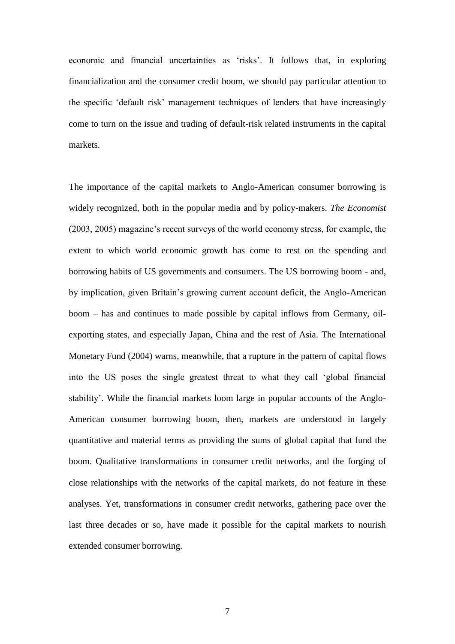economic and financial uncertainties as 'risks'. It follows that, in exploring financialization and the consumer credit boom, we should pay particular attention to the specific 'default risk' management techniques of lenders that have increasingly come to turn on the issue and trading of default-risk related instruments in the capital markets.

The importance of the capital markets to Anglo-American consumer borrowing is widely recognized, both in the popular media and by policy-makers. *The Economist* (2003, 2005) magazine's recent surveys of the world economy stress, for example, the extent to which world economic growth has come to rest on the spending and borrowing habits of US governments and consumers. The US borrowing boom - and, by implication, given Britain's growing current account deficit, the Anglo-American boom – has and continues to made possible by capital inflows from Germany, oilexporting states, and especially Japan, China and the rest of Asia. The International Monetary Fund (2004) warns, meanwhile, that a rupture in the pattern of capital flows into the US poses the single greatest threat to what they call 'global financial stability'. While the financial markets loom large in popular accounts of the Anglo-American consumer borrowing boom, then, markets are understood in largely quantitative and material terms as providing the sums of global capital that fund the boom. Qualitative transformations in consumer credit networks, and the forging of close relationships with the networks of the capital markets, do not feature in these analyses. Yet, transformations in consumer credit networks, gathering pace over the last three decades or so, have made it possible for the capital markets to nourish extended consumer borrowing.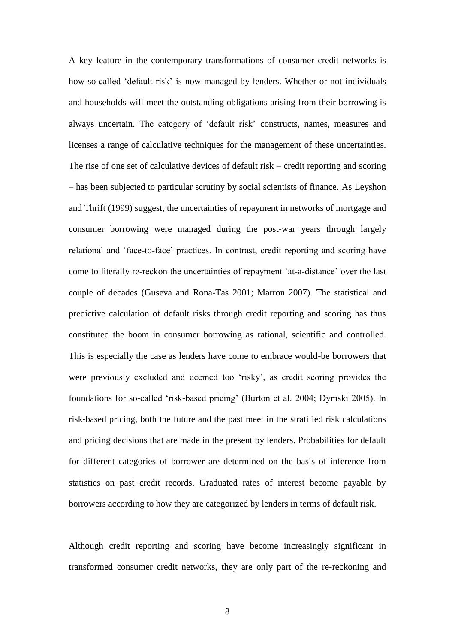A key feature in the contemporary transformations of consumer credit networks is how so-called 'default risk' is now managed by lenders. Whether or not individuals and households will meet the outstanding obligations arising from their borrowing is always uncertain. The category of 'default risk' constructs, names, measures and licenses a range of calculative techniques for the management of these uncertainties. The rise of one set of calculative devices of default risk – credit reporting and scoring – has been subjected to particular scrutiny by social scientists of finance. As Leyshon and Thrift (1999) suggest, the uncertainties of repayment in networks of mortgage and consumer borrowing were managed during the post-war years through largely relational and 'face-to-face' practices. In contrast, credit reporting and scoring have come to literally re-reckon the uncertainties of repayment 'at-a-distance' over the last couple of decades (Guseva and Rona-Tas 2001; Marron 2007). The statistical and predictive calculation of default risks through credit reporting and scoring has thus constituted the boom in consumer borrowing as rational, scientific and controlled. This is especially the case as lenders have come to embrace would-be borrowers that were previously excluded and deemed too 'risky', as credit scoring provides the foundations for so-called 'risk-based pricing' (Burton et al. 2004; Dymski 2005). In risk-based pricing, both the future and the past meet in the stratified risk calculations and pricing decisions that are made in the present by lenders. Probabilities for default for different categories of borrower are determined on the basis of inference from statistics on past credit records. Graduated rates of interest become payable by borrowers according to how they are categorized by lenders in terms of default risk.

Although credit reporting and scoring have become increasingly significant in transformed consumer credit networks, they are only part of the re-reckoning and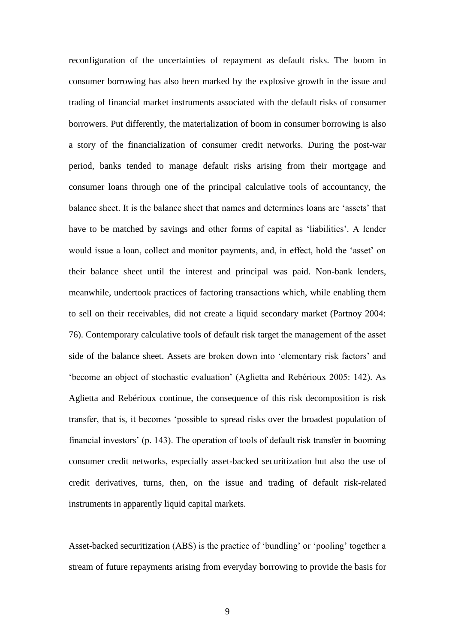reconfiguration of the uncertainties of repayment as default risks. The boom in consumer borrowing has also been marked by the explosive growth in the issue and trading of financial market instruments associated with the default risks of consumer borrowers. Put differently, the materialization of boom in consumer borrowing is also a story of the financialization of consumer credit networks. During the post-war period, banks tended to manage default risks arising from their mortgage and consumer loans through one of the principal calculative tools of accountancy, the balance sheet. It is the balance sheet that names and determines loans are 'assets' that have to be matched by savings and other forms of capital as 'liabilities'. A lender would issue a loan, collect and monitor payments, and, in effect, hold the 'asset' on their balance sheet until the interest and principal was paid. Non-bank lenders, meanwhile, undertook practices of factoring transactions which, while enabling them to sell on their receivables, did not create a liquid secondary market (Partnoy 2004: 76). Contemporary calculative tools of default risk target the management of the asset side of the balance sheet. Assets are broken down into 'elementary risk factors' and 'become an object of stochastic evaluation' (Aglietta and Rebérioux 2005: 142). As Aglietta and Rebérioux continue, the consequence of this risk decomposition is risk transfer, that is, it becomes 'possible to spread risks over the broadest population of financial investors' (p. 143). The operation of tools of default risk transfer in booming consumer credit networks, especially asset-backed securitization but also the use of credit derivatives, turns, then, on the issue and trading of default risk-related instruments in apparently liquid capital markets.

Asset-backed securitization (ABS) is the practice of 'bundling' or 'pooling' together a stream of future repayments arising from everyday borrowing to provide the basis for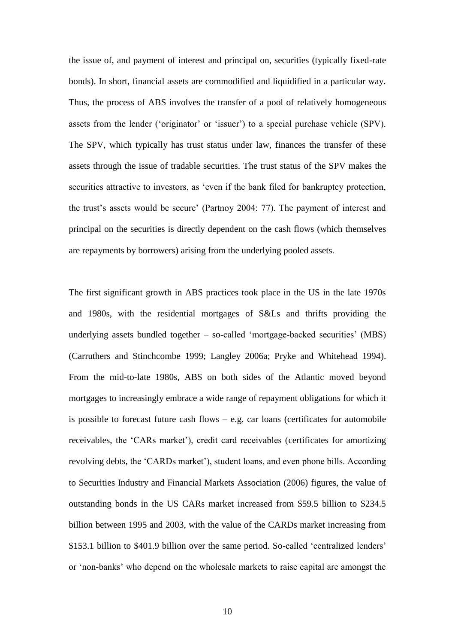the issue of, and payment of interest and principal on, securities (typically fixed-rate bonds). In short, financial assets are commodified and liquidified in a particular way. Thus, the process of ABS involves the transfer of a pool of relatively homogeneous assets from the lender ('originator' or 'issuer') to a special purchase vehicle (SPV). The SPV, which typically has trust status under law, finances the transfer of these assets through the issue of tradable securities. The trust status of the SPV makes the securities attractive to investors, as 'even if the bank filed for bankruptcy protection, the trust's assets would be secure' (Partnoy 2004: 77). The payment of interest and principal on the securities is directly dependent on the cash flows (which themselves are repayments by borrowers) arising from the underlying pooled assets.

The first significant growth in ABS practices took place in the US in the late 1970s and 1980s, with the residential mortgages of S&Ls and thrifts providing the underlying assets bundled together – so-called 'mortgage-backed securities' (MBS) (Carruthers and Stinchcombe 1999; Langley 2006a; Pryke and Whitehead 1994). From the mid-to-late 1980s, ABS on both sides of the Atlantic moved beyond mortgages to increasingly embrace a wide range of repayment obligations for which it is possible to forecast future cash flows  $-$  e.g. car loans (certificates for automobile receivables, the 'CARs market'), credit card receivables (certificates for amortizing revolving debts, the 'CARDs market'), student loans, and even phone bills. According to Securities Industry and Financial Markets Association (2006) figures, the value of outstanding bonds in the US CARs market increased from \$59.5 billion to \$234.5 billion between 1995 and 2003, with the value of the CARDs market increasing from \$153.1 billion to \$401.9 billion over the same period. So-called 'centralized lenders' or 'non-banks' who depend on the wholesale markets to raise capital are amongst the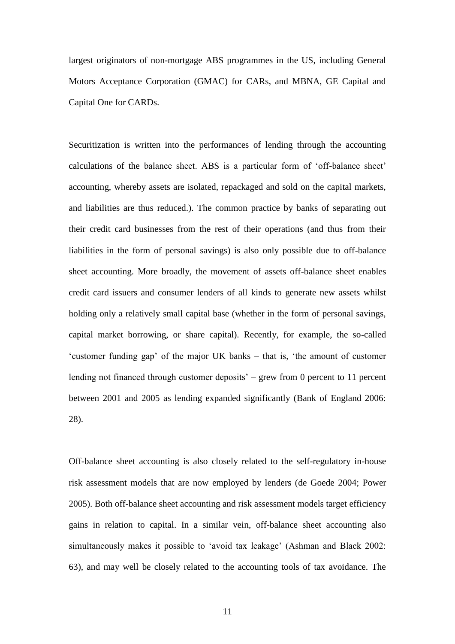largest originators of non-mortgage ABS programmes in the US, including General Motors Acceptance Corporation (GMAC) for CARs, and MBNA, GE Capital and Capital One for CARDs.

Securitization is written into the performances of lending through the accounting calculations of the balance sheet. ABS is a particular form of 'off-balance sheet' accounting, whereby assets are isolated, repackaged and sold on the capital markets, and liabilities are thus reduced.). The common practice by banks of separating out their credit card businesses from the rest of their operations (and thus from their liabilities in the form of personal savings) is also only possible due to off-balance sheet accounting. More broadly, the movement of assets off-balance sheet enables credit card issuers and consumer lenders of all kinds to generate new assets whilst holding only a relatively small capital base (whether in the form of personal savings, capital market borrowing, or share capital). Recently, for example, the so-called 'customer funding gap' of the major UK banks – that is, 'the amount of customer lending not financed through customer deposits' – grew from 0 percent to 11 percent between 2001 and 2005 as lending expanded significantly (Bank of England 2006: 28).

Off-balance sheet accounting is also closely related to the self-regulatory in-house risk assessment models that are now employed by lenders (de Goede 2004; Power 2005). Both off-balance sheet accounting and risk assessment models target efficiency gains in relation to capital. In a similar vein, off-balance sheet accounting also simultaneously makes it possible to 'avoid tax leakage' (Ashman and Black 2002: 63), and may well be closely related to the accounting tools of tax avoidance. The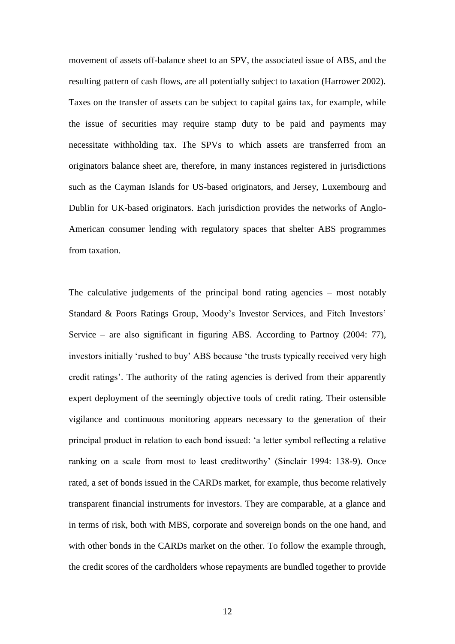movement of assets off-balance sheet to an SPV, the associated issue of ABS, and the resulting pattern of cash flows, are all potentially subject to taxation (Harrower 2002). Taxes on the transfer of assets can be subject to capital gains tax, for example, while the issue of securities may require stamp duty to be paid and payments may necessitate withholding tax. The SPVs to which assets are transferred from an originators balance sheet are, therefore, in many instances registered in jurisdictions such as the Cayman Islands for US-based originators, and Jersey, Luxembourg and Dublin for UK-based originators. Each jurisdiction provides the networks of Anglo-American consumer lending with regulatory spaces that shelter ABS programmes from taxation.

The calculative judgements of the principal bond rating agencies – most notably Standard & Poors Ratings Group, Moody's Investor Services, and Fitch Investors' Service – are also significant in figuring ABS. According to Partnoy (2004: 77), investors initially 'rushed to buy' ABS because 'the trusts typically received very high credit ratings'. The authority of the rating agencies is derived from their apparently expert deployment of the seemingly objective tools of credit rating. Their ostensible vigilance and continuous monitoring appears necessary to the generation of their principal product in relation to each bond issued: 'a letter symbol reflecting a relative ranking on a scale from most to least creditworthy' (Sinclair 1994: 138-9). Once rated, a set of bonds issued in the CARDs market, for example, thus become relatively transparent financial instruments for investors. They are comparable, at a glance and in terms of risk, both with MBS, corporate and sovereign bonds on the one hand, and with other bonds in the CARDs market on the other. To follow the example through, the credit scores of the cardholders whose repayments are bundled together to provide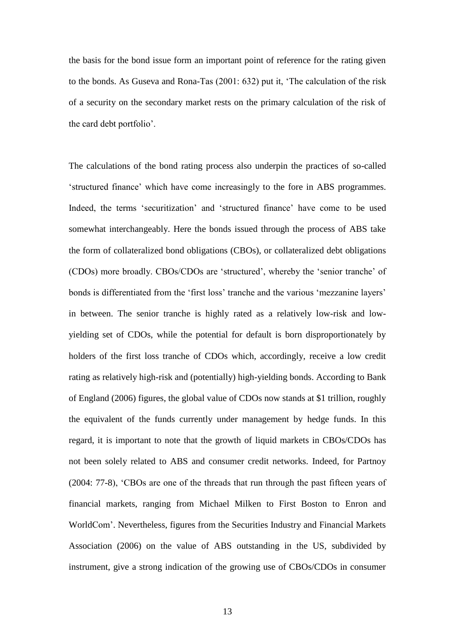the basis for the bond issue form an important point of reference for the rating given to the bonds. As Guseva and Rona-Tas (2001: 632) put it, 'The calculation of the risk of a security on the secondary market rests on the primary calculation of the risk of the card debt portfolio'.

The calculations of the bond rating process also underpin the practices of so-called 'structured finance' which have come increasingly to the fore in ABS programmes. Indeed, the terms 'securitization' and 'structured finance' have come to be used somewhat interchangeably. Here the bonds issued through the process of ABS take the form of collateralized bond obligations (CBOs), or collateralized debt obligations (CDOs) more broadly. CBOs/CDOs are 'structured', whereby the 'senior tranche' of bonds is differentiated from the 'first loss' tranche and the various 'mezzanine layers' in between. The senior tranche is highly rated as a relatively low-risk and lowyielding set of CDOs, while the potential for default is born disproportionately by holders of the first loss tranche of CDOs which, accordingly, receive a low credit rating as relatively high-risk and (potentially) high-yielding bonds. According to Bank of England (2006) figures, the global value of CDOs now stands at \$1 trillion, roughly the equivalent of the funds currently under management by hedge funds. In this regard, it is important to note that the growth of liquid markets in CBOs/CDOs has not been solely related to ABS and consumer credit networks. Indeed, for Partnoy (2004: 77-8), 'CBOs are one of the threads that run through the past fifteen years of financial markets, ranging from Michael Milken to First Boston to Enron and WorldCom'. Nevertheless, figures from the Securities Industry and Financial Markets Association (2006) on the value of ABS outstanding in the US, subdivided by instrument, give a strong indication of the growing use of CBOs/CDOs in consumer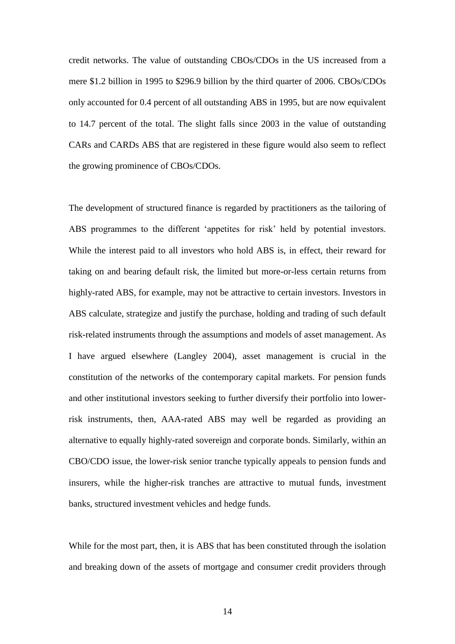credit networks. The value of outstanding CBOs/CDOs in the US increased from a mere \$1.2 billion in 1995 to \$296.9 billion by the third quarter of 2006. CBOs/CDOs only accounted for 0.4 percent of all outstanding ABS in 1995, but are now equivalent to 14.7 percent of the total. The slight falls since 2003 in the value of outstanding CARs and CARDs ABS that are registered in these figure would also seem to reflect the growing prominence of CBOs/CDOs.

The development of structured finance is regarded by practitioners as the tailoring of ABS programmes to the different 'appetites for risk' held by potential investors. While the interest paid to all investors who hold ABS is, in effect, their reward for taking on and bearing default risk, the limited but more-or-less certain returns from highly-rated ABS, for example, may not be attractive to certain investors. Investors in ABS calculate, strategize and justify the purchase, holding and trading of such default risk-related instruments through the assumptions and models of asset management. As I have argued elsewhere (Langley 2004), asset management is crucial in the constitution of the networks of the contemporary capital markets. For pension funds and other institutional investors seeking to further diversify their portfolio into lowerrisk instruments, then, AAA-rated ABS may well be regarded as providing an alternative to equally highly-rated sovereign and corporate bonds. Similarly, within an CBO/CDO issue, the lower-risk senior tranche typically appeals to pension funds and insurers, while the higher-risk tranches are attractive to mutual funds, investment banks, structured investment vehicles and hedge funds.

While for the most part, then, it is ABS that has been constituted through the isolation and breaking down of the assets of mortgage and consumer credit providers through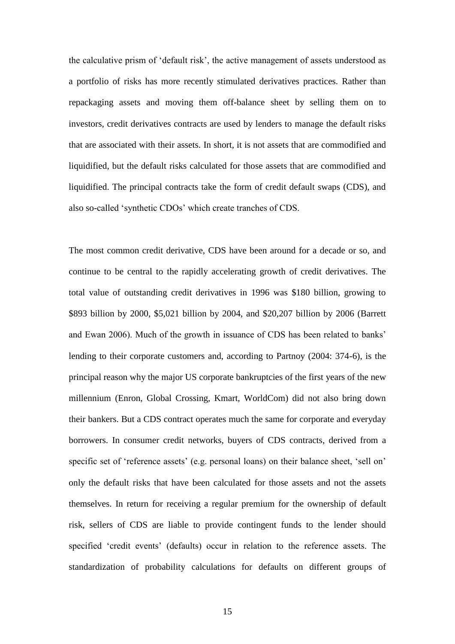the calculative prism of 'default risk', the active management of assets understood as a portfolio of risks has more recently stimulated derivatives practices. Rather than repackaging assets and moving them off-balance sheet by selling them on to investors, credit derivatives contracts are used by lenders to manage the default risks that are associated with their assets. In short, it is not assets that are commodified and liquidified, but the default risks calculated for those assets that are commodified and liquidified. The principal contracts take the form of credit default swaps (CDS), and also so-called 'synthetic CDOs' which create tranches of CDS.

The most common credit derivative, CDS have been around for a decade or so, and continue to be central to the rapidly accelerating growth of credit derivatives. The total value of outstanding credit derivatives in 1996 was \$180 billion, growing to \$893 billion by 2000, \$5,021 billion by 2004, and \$20,207 billion by 2006 (Barrett and Ewan 2006). Much of the growth in issuance of CDS has been related to banks' lending to their corporate customers and, according to Partnoy (2004: 374-6), is the principal reason why the major US corporate bankruptcies of the first years of the new millennium (Enron, Global Crossing, Kmart, WorldCom) did not also bring down their bankers. But a CDS contract operates much the same for corporate and everyday borrowers. In consumer credit networks, buyers of CDS contracts, derived from a specific set of 'reference assets' (e.g. personal loans) on their balance sheet, 'sell on' only the default risks that have been calculated for those assets and not the assets themselves. In return for receiving a regular premium for the ownership of default risk, sellers of CDS are liable to provide contingent funds to the lender should specified 'credit events' (defaults) occur in relation to the reference assets. The standardization of probability calculations for defaults on different groups of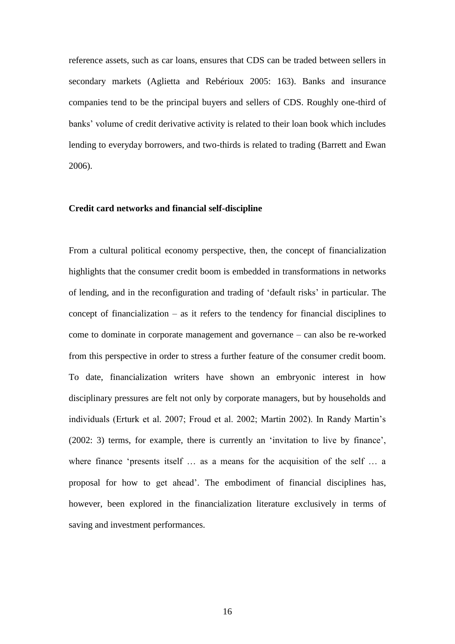reference assets, such as car loans, ensures that CDS can be traded between sellers in secondary markets (Aglietta and Rebérioux 2005: 163). Banks and insurance companies tend to be the principal buyers and sellers of CDS. Roughly one-third of banks' volume of credit derivative activity is related to their loan book which includes lending to everyday borrowers, and two-thirds is related to trading (Barrett and Ewan 2006).

#### **Credit card networks and financial self-discipline**

From a cultural political economy perspective, then, the concept of financialization highlights that the consumer credit boom is embedded in transformations in networks of lending, and in the reconfiguration and trading of 'default risks' in particular. The concept of financialization – as it refers to the tendency for financial disciplines to come to dominate in corporate management and governance – can also be re-worked from this perspective in order to stress a further feature of the consumer credit boom. To date, financialization writers have shown an embryonic interest in how disciplinary pressures are felt not only by corporate managers, but by households and individuals (Erturk et al. 2007; Froud et al. 2002; Martin 2002). In Randy Martin's (2002: 3) terms, for example, there is currently an 'invitation to live by finance', where finance 'presents itself ... as a means for the acquisition of the self ... a proposal for how to get ahead'. The embodiment of financial disciplines has, however, been explored in the financialization literature exclusively in terms of saving and investment performances.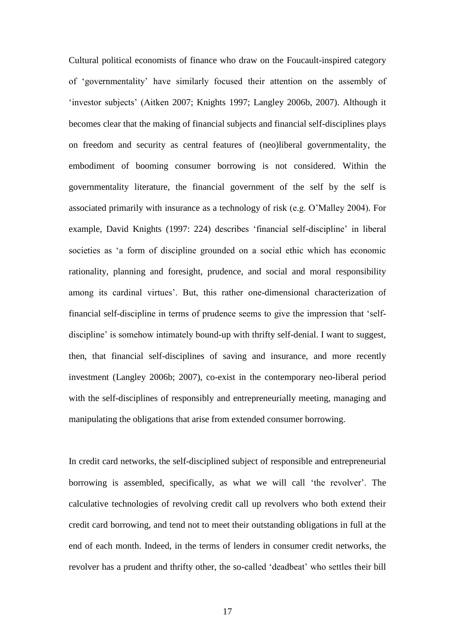Cultural political economists of finance who draw on the Foucault-inspired category of 'governmentality' have similarly focused their attention on the assembly of 'investor subjects' (Aitken 2007; Knights 1997; Langley 2006b, 2007). Although it becomes clear that the making of financial subjects and financial self-disciplines plays on freedom and security as central features of (neo)liberal governmentality, the embodiment of booming consumer borrowing is not considered. Within the governmentality literature, the financial government of the self by the self is associated primarily with insurance as a technology of risk (e.g. O'Malley 2004). For example, David Knights (1997: 224) describes 'financial self-discipline' in liberal societies as 'a form of discipline grounded on a social ethic which has economic rationality, planning and foresight, prudence, and social and moral responsibility among its cardinal virtues'. But, this rather one-dimensional characterization of financial self-discipline in terms of prudence seems to give the impression that 'selfdiscipline' is somehow intimately bound-up with thrifty self-denial. I want to suggest, then, that financial self-disciplines of saving and insurance, and more recently investment (Langley 2006b; 2007), co-exist in the contemporary neo-liberal period with the self-disciplines of responsibly and entrepreneurially meeting, managing and manipulating the obligations that arise from extended consumer borrowing.

In credit card networks, the self-disciplined subject of responsible and entrepreneurial borrowing is assembled, specifically, as what we will call 'the revolver'. The calculative technologies of revolving credit call up revolvers who both extend their credit card borrowing, and tend not to meet their outstanding obligations in full at the end of each month. Indeed, in the terms of lenders in consumer credit networks, the revolver has a prudent and thrifty other, the so-called 'deadbeat' who settles their bill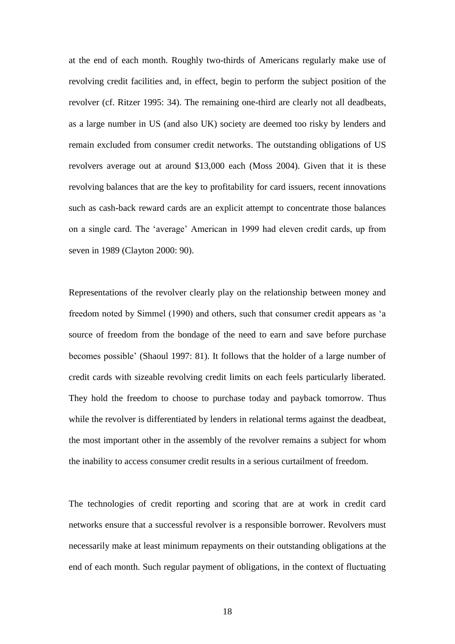at the end of each month. Roughly two-thirds of Americans regularly make use of revolving credit facilities and, in effect, begin to perform the subject position of the revolver (cf. Ritzer 1995: 34). The remaining one-third are clearly not all deadbeats, as a large number in US (and also UK) society are deemed too risky by lenders and remain excluded from consumer credit networks. The outstanding obligations of US revolvers average out at around \$13,000 each (Moss 2004). Given that it is these revolving balances that are the key to profitability for card issuers, recent innovations such as cash-back reward cards are an explicit attempt to concentrate those balances on a single card. The 'average' American in 1999 had eleven credit cards, up from seven in 1989 (Clayton 2000: 90).

Representations of the revolver clearly play on the relationship between money and freedom noted by Simmel (1990) and others, such that consumer credit appears as 'a source of freedom from the bondage of the need to earn and save before purchase becomes possible' (Shaoul 1997: 81). It follows that the holder of a large number of credit cards with sizeable revolving credit limits on each feels particularly liberated. They hold the freedom to choose to purchase today and payback tomorrow. Thus while the revolver is differentiated by lenders in relational terms against the deadbeat, the most important other in the assembly of the revolver remains a subject for whom the inability to access consumer credit results in a serious curtailment of freedom.

The technologies of credit reporting and scoring that are at work in credit card networks ensure that a successful revolver is a responsible borrower. Revolvers must necessarily make at least minimum repayments on their outstanding obligations at the end of each month. Such regular payment of obligations, in the context of fluctuating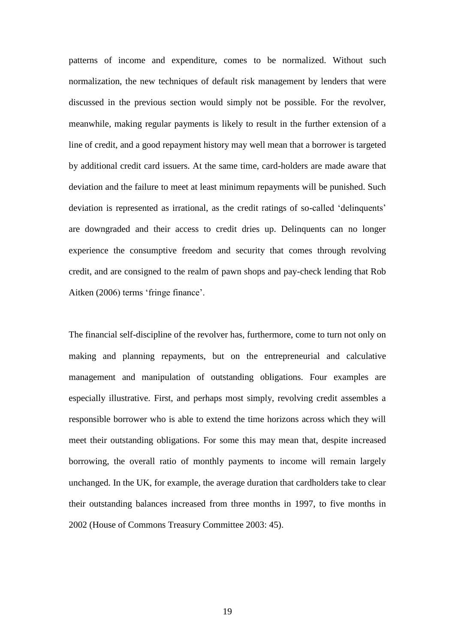patterns of income and expenditure, comes to be normalized. Without such normalization, the new techniques of default risk management by lenders that were discussed in the previous section would simply not be possible. For the revolver, meanwhile, making regular payments is likely to result in the further extension of a line of credit, and a good repayment history may well mean that a borrower is targeted by additional credit card issuers. At the same time, card-holders are made aware that deviation and the failure to meet at least minimum repayments will be punished. Such deviation is represented as irrational, as the credit ratings of so-called 'delinquents' are downgraded and their access to credit dries up. Delinquents can no longer experience the consumptive freedom and security that comes through revolving credit, and are consigned to the realm of pawn shops and pay-check lending that Rob Aitken (2006) terms 'fringe finance'.

The financial self-discipline of the revolver has, furthermore, come to turn not only on making and planning repayments, but on the entrepreneurial and calculative management and manipulation of outstanding obligations. Four examples are especially illustrative. First, and perhaps most simply, revolving credit assembles a responsible borrower who is able to extend the time horizons across which they will meet their outstanding obligations. For some this may mean that, despite increased borrowing, the overall ratio of monthly payments to income will remain largely unchanged. In the UK, for example, the average duration that cardholders take to clear their outstanding balances increased from three months in 1997, to five months in 2002 (House of Commons Treasury Committee 2003: 45).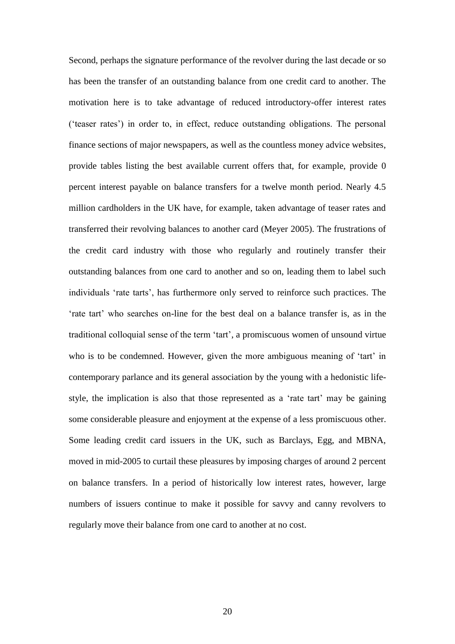Second, perhaps the signature performance of the revolver during the last decade or so has been the transfer of an outstanding balance from one credit card to another. The motivation here is to take advantage of reduced introductory-offer interest rates ('teaser rates') in order to, in effect, reduce outstanding obligations. The personal finance sections of major newspapers, as well as the countless money advice websites, provide tables listing the best available current offers that, for example, provide 0 percent interest payable on balance transfers for a twelve month period. Nearly 4.5 million cardholders in the UK have, for example, taken advantage of teaser rates and transferred their revolving balances to another card (Meyer 2005). The frustrations of the credit card industry with those who regularly and routinely transfer their outstanding balances from one card to another and so on, leading them to label such individuals 'rate tarts', has furthermore only served to reinforce such practices. The 'rate tart' who searches on-line for the best deal on a balance transfer is, as in the traditional colloquial sense of the term 'tart', a promiscuous women of unsound virtue who is to be condemned. However, given the more ambiguous meaning of 'tart' in contemporary parlance and its general association by the young with a hedonistic lifestyle, the implication is also that those represented as a 'rate tart' may be gaining some considerable pleasure and enjoyment at the expense of a less promiscuous other. Some leading credit card issuers in the UK, such as Barclays, Egg, and MBNA, moved in mid-2005 to curtail these pleasures by imposing charges of around 2 percent on balance transfers. In a period of historically low interest rates, however, large numbers of issuers continue to make it possible for savvy and canny revolvers to regularly move their balance from one card to another at no cost.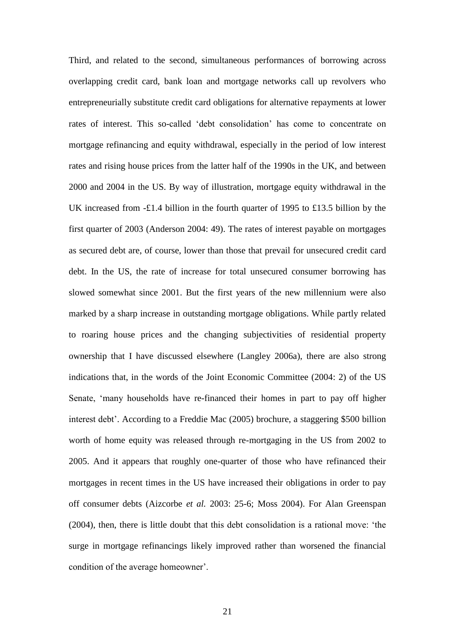Third, and related to the second, simultaneous performances of borrowing across overlapping credit card, bank loan and mortgage networks call up revolvers who entrepreneurially substitute credit card obligations for alternative repayments at lower rates of interest. This so-called 'debt consolidation' has come to concentrate on mortgage refinancing and equity withdrawal, especially in the period of low interest rates and rising house prices from the latter half of the 1990s in the UK, and between 2000 and 2004 in the US. By way of illustration, mortgage equity withdrawal in the UK increased from -£1.4 billion in the fourth quarter of 1995 to £13.5 billion by the first quarter of 2003 (Anderson 2004: 49). The rates of interest payable on mortgages as secured debt are, of course, lower than those that prevail for unsecured credit card debt. In the US, the rate of increase for total unsecured consumer borrowing has slowed somewhat since 2001. But the first years of the new millennium were also marked by a sharp increase in outstanding mortgage obligations. While partly related to roaring house prices and the changing subjectivities of residential property ownership that I have discussed elsewhere (Langley 2006a), there are also strong indications that, in the words of the Joint Economic Committee (2004: 2) of the US Senate, 'many households have re-financed their homes in part to pay off higher interest debt'. According to a Freddie Mac (2005) brochure, a staggering \$500 billion worth of home equity was released through re-mortgaging in the US from 2002 to 2005. And it appears that roughly one-quarter of those who have refinanced their mortgages in recent times in the US have increased their obligations in order to pay off consumer debts (Aizcorbe *et al.* 2003: 25-6; Moss 2004). For Alan Greenspan (2004), then, there is little doubt that this debt consolidation is a rational move: 'the surge in mortgage refinancings likely improved rather than worsened the financial condition of the average homeowner'.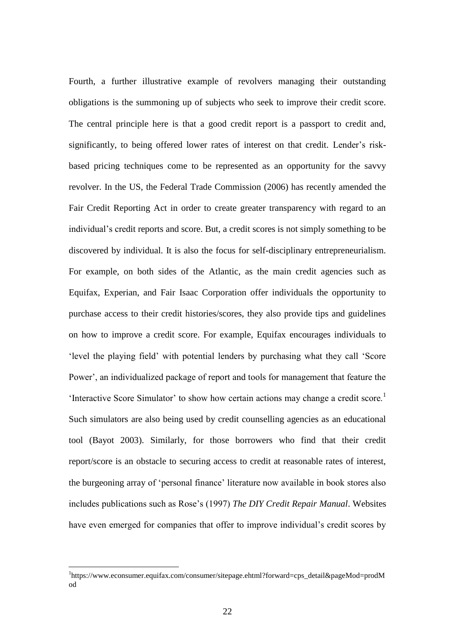Fourth, a further illustrative example of revolvers managing their outstanding obligations is the summoning up of subjects who seek to improve their credit score. The central principle here is that a good credit report is a passport to credit and, significantly, to being offered lower rates of interest on that credit. Lender's riskbased pricing techniques come to be represented as an opportunity for the savvy revolver. In the US, the Federal Trade Commission (2006) has recently amended the Fair Credit Reporting Act in order to create greater transparency with regard to an individual's credit reports and score. But, a credit scores is not simply something to be discovered by individual. It is also the focus for self-disciplinary entrepreneurialism. For example, on both sides of the Atlantic, as the main credit agencies such as Equifax, Experian, and Fair Isaac Corporation offer individuals the opportunity to purchase access to their credit histories/scores, they also provide tips and guidelines on how to improve a credit score. For example, Equifax encourages individuals to 'level the playing field' with potential lenders by purchasing what they call 'Score Power', an individualized package of report and tools for management that feature the 'Interactive Score Simulator' to show how certain actions may change a credit score.<sup>1</sup> Such simulators are also being used by credit counselling agencies as an educational tool (Bayot 2003). Similarly, for those borrowers who find that their credit report/score is an obstacle to securing access to credit at reasonable rates of interest, the burgeoning array of 'personal finance' literature now available in book stores also includes publications such as Rose's (1997) *The DIY Credit Repair Manual*. Websites have even emerged for companies that offer to improve individual's credit scores by

<u>.</u>

<sup>&</sup>lt;sup>1</sup>https://www.econsumer.equifax.com/consumer/sitepage.ehtml?forward=cps\_detail&pageMod=prodM od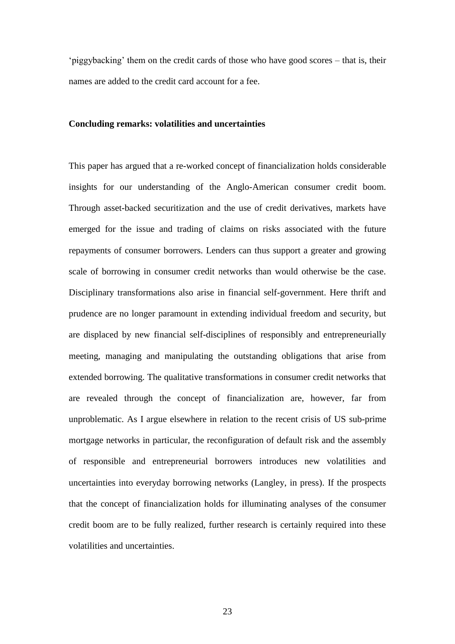'piggybacking' them on the credit cards of those who have good scores – that is, their names are added to the credit card account for a fee.

### **Concluding remarks: volatilities and uncertainties**

This paper has argued that a re-worked concept of financialization holds considerable insights for our understanding of the Anglo-American consumer credit boom. Through asset-backed securitization and the use of credit derivatives, markets have emerged for the issue and trading of claims on risks associated with the future repayments of consumer borrowers. Lenders can thus support a greater and growing scale of borrowing in consumer credit networks than would otherwise be the case. Disciplinary transformations also arise in financial self-government. Here thrift and prudence are no longer paramount in extending individual freedom and security, but are displaced by new financial self-disciplines of responsibly and entrepreneurially meeting, managing and manipulating the outstanding obligations that arise from extended borrowing. The qualitative transformations in consumer credit networks that are revealed through the concept of financialization are, however, far from unproblematic. As I argue elsewhere in relation to the recent crisis of US sub-prime mortgage networks in particular, the reconfiguration of default risk and the assembly of responsible and entrepreneurial borrowers introduces new volatilities and uncertainties into everyday borrowing networks (Langley, in press). If the prospects that the concept of financialization holds for illuminating analyses of the consumer credit boom are to be fully realized, further research is certainly required into these volatilities and uncertainties.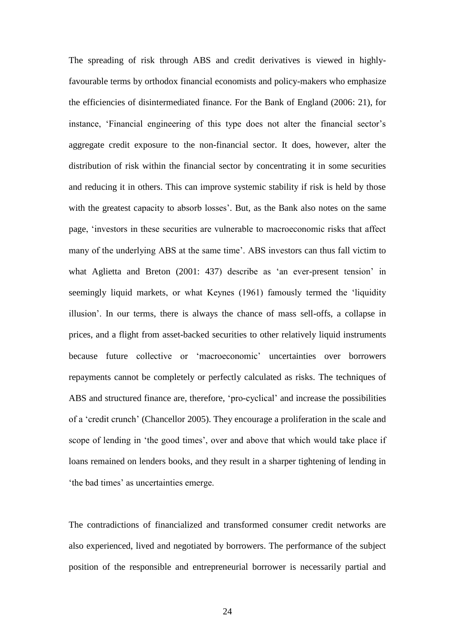The spreading of risk through ABS and credit derivatives is viewed in highlyfavourable terms by orthodox financial economists and policy-makers who emphasize the efficiencies of disintermediated finance. For the Bank of England (2006: 21), for instance, 'Financial engineering of this type does not alter the financial sector's aggregate credit exposure to the non-financial sector. It does, however, alter the distribution of risk within the financial sector by concentrating it in some securities and reducing it in others. This can improve systemic stability if risk is held by those with the greatest capacity to absorb losses'. But, as the Bank also notes on the same page, 'investors in these securities are vulnerable to macroeconomic risks that affect many of the underlying ABS at the same time'. ABS investors can thus fall victim to what Aglietta and Breton (2001: 437) describe as 'an ever-present tension' in seemingly liquid markets, or what Keynes (1961) famously termed the 'liquidity illusion'. In our terms, there is always the chance of mass sell-offs, a collapse in prices, and a flight from asset-backed securities to other relatively liquid instruments because future collective or 'macroeconomic' uncertainties over borrowers repayments cannot be completely or perfectly calculated as risks. The techniques of ABS and structured finance are, therefore, 'pro-cyclical' and increase the possibilities of a 'credit crunch' (Chancellor 2005). They encourage a proliferation in the scale and scope of lending in 'the good times', over and above that which would take place if loans remained on lenders books, and they result in a sharper tightening of lending in 'the bad times' as uncertainties emerge.

The contradictions of financialized and transformed consumer credit networks are also experienced, lived and negotiated by borrowers. The performance of the subject position of the responsible and entrepreneurial borrower is necessarily partial and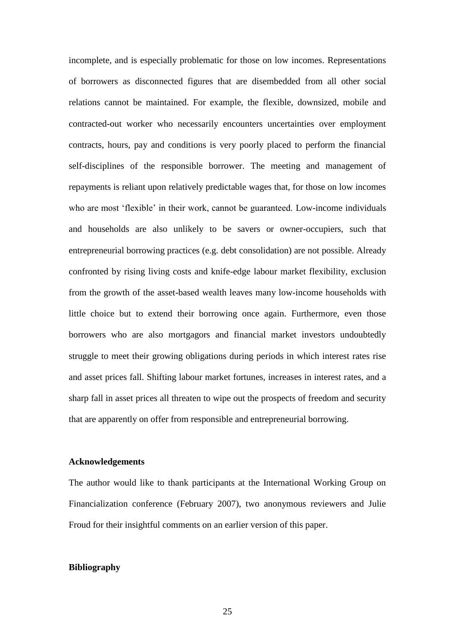incomplete, and is especially problematic for those on low incomes. Representations of borrowers as disconnected figures that are disembedded from all other social relations cannot be maintained. For example, the flexible, downsized, mobile and contracted-out worker who necessarily encounters uncertainties over employment contracts, hours, pay and conditions is very poorly placed to perform the financial self-disciplines of the responsible borrower. The meeting and management of repayments is reliant upon relatively predictable wages that, for those on low incomes who are most 'flexible' in their work, cannot be guaranteed. Low-income individuals and households are also unlikely to be savers or owner-occupiers, such that entrepreneurial borrowing practices (e.g. debt consolidation) are not possible. Already confronted by rising living costs and knife-edge labour market flexibility, exclusion from the growth of the asset-based wealth leaves many low-income households with little choice but to extend their borrowing once again. Furthermore, even those borrowers who are also mortgagors and financial market investors undoubtedly struggle to meet their growing obligations during periods in which interest rates rise and asset prices fall. Shifting labour market fortunes, increases in interest rates, and a sharp fall in asset prices all threaten to wipe out the prospects of freedom and security that are apparently on offer from responsible and entrepreneurial borrowing.

#### **Acknowledgements**

The author would like to thank participants at the International Working Group on Financialization conference (February 2007), two anonymous reviewers and Julie Froud for their insightful comments on an earlier version of this paper.

### **Bibliography**

25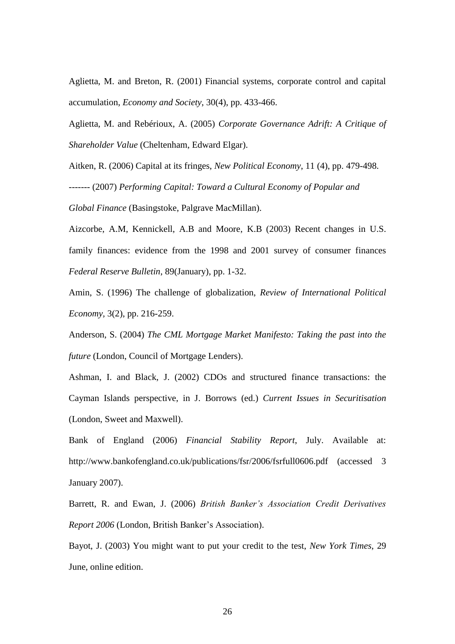Aglietta, M. and Breton, R. (2001) Financial systems, corporate control and capital accumulation, *Economy and Society*, 30(4), pp. 433-466.

Aglietta, M. and Rebérioux, A. (2005) *Corporate Governance Adrift: A Critique of Shareholder Value* (Cheltenham, Edward Elgar).

Aitken, R. (2006) Capital at its fringes, *New Political Economy*, 11 (4), pp. 479-498. ------- (2007) *Performing Capital: Toward a Cultural Economy of Popular and Global Finance* (Basingstoke, Palgrave MacMillan).

Aizcorbe, A.M, Kennickell, A.B and Moore, K.B (2003) Recent changes in U.S. family finances: evidence from the 1998 and 2001 survey of consumer finances *Federal Reserve Bulletin*, 89(January), pp. 1-32.

Amin, S. (1996) The challenge of globalization, *Review of International Political Economy,* 3(2), pp. 216-259.

Anderson, S. (2004) *The CML Mortgage Market Manifesto: Taking the past into the future* (London, Council of Mortgage Lenders).

Ashman, I. and Black, J. (2002) CDOs and structured finance transactions: the Cayman Islands perspective, in J. Borrows (ed.) *Current Issues in Securitisation* (London, Sweet and Maxwell).

Bank of England (2006) *Financial Stability Report*, July. Available at: http://www.bankofengland.co.uk/publications/fsr/2006/fsrfull0606.pdf (accessed 3 January 2007).

Barrett, R. and Ewan, J. (2006) *British Banker's Association Credit Derivatives Report 2006* (London, British Banker's Association).

Bayot, J. (2003) You might want to put your credit to the test, *New York Times*, 29 June, online edition.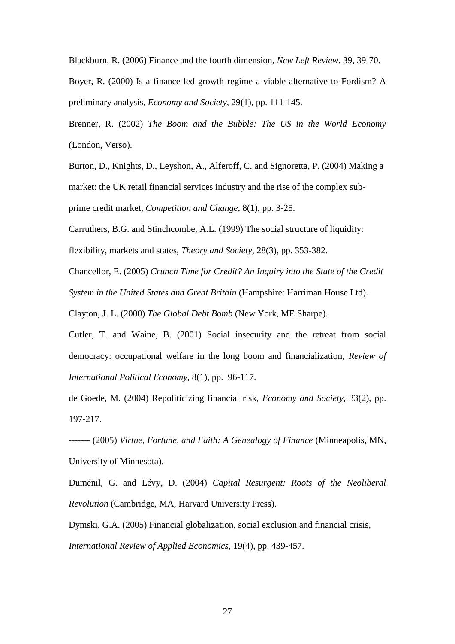Blackburn, R. (2006) Finance and the fourth dimension, *New Left Review*, 39, 39-70.

Boyer, R. (2000) Is a finance-led growth regime a viable alternative to Fordism? A preliminary analysis, *Economy and Society*, 29(1), pp. 111-145.

Brenner, R. (2002) *The Boom and the Bubble: The US in the World Economy* (London, Verso).

Burton, D., Knights, D., Leyshon, A., Alferoff, C. and Signoretta, P. (2004) Making a market: the UK retail financial services industry and the rise of the complex subprime credit market, *Competition and Change*, 8(1), pp. 3-25.

Carruthers, B.G. and Stinchcombe, A.L. (1999) The social structure of liquidity:

flexibility, markets and states, *Theory and Society*, 28(3), pp. 353-382.

Chancellor, E. (2005) *Crunch Time for Credit? An Inquiry into the State of the Credit* 

*System in the United States and Great Britain* (Hampshire: Harriman House Ltd).

Clayton, J. L. (2000) *The Global Debt Bomb* (New York, ME Sharpe).

Cutler, T. and Waine, B. (2001) Social insecurity and the retreat from social democracy: occupational welfare in the long boom and financialization, *Review of International Political Economy*, 8(1), pp. 96-117.

de Goede, M. (2004) Repoliticizing financial risk, *Economy and Society*, 33(2), pp. 197-217.

------- (2005) *Virtue, Fortune, and Faith: A Genealogy of Finance* (Minneapolis, MN, University of Minnesota).

Duménil, G. and Lévy, D. (2004) *Capital Resurgent: Roots of the Neoliberal Revolution* (Cambridge, MA, Harvard University Press).

Dymski, G.A. (2005) Financial globalization, social exclusion and financial crisis, *International Review of Applied Economics*, 19(4), pp. 439-457.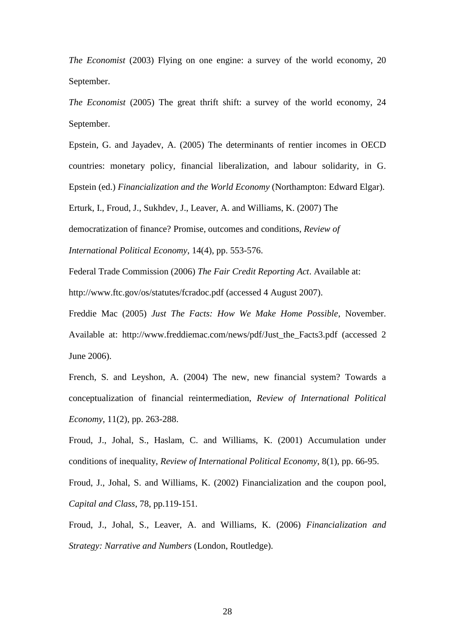*The Economist* (2003) Flying on one engine: a survey of the world economy, 20 September.

*The Economist* (2005) The great thrift shift: a survey of the world economy, 24 September.

Epstein, G. and Jayadev, A. (2005) The determinants of rentier incomes in OECD countries: monetary policy, financial liberalization, and labour solidarity, in G. Epstein (ed.) *Financialization and the World Economy* (Northampton: Edward Elgar).

Erturk, I., Froud, J., Sukhdev, J., Leaver, A. and Williams, K. (2007) The

democratization of finance? Promise, outcomes and conditions, *Review of* 

*International Political Economy*, 14(4), pp. 553-576.

Federal Trade Commission (2006) *The Fair Credit Reporting Act*. Available at:

http://www.ftc.gov/os/statutes/fcradoc.pdf (accessed 4 August 2007).

Freddie Mac (2005) *Just The Facts: How We Make Home Possible*, November. Available at: http://www.freddiemac.com/news/pdf/Just\_the\_Facts3.pdf (accessed 2) June 2006).

French, S. and Leyshon, A. (2004) The new, new financial system? Towards a conceptualization of financial reintermediation, *Review of International Political Economy*, 11(2), pp. 263-288.

Froud, J., Johal, S., Haslam, C. and Williams, K. (2001) Accumulation under conditions of inequality, *Review of International Political Economy*, 8(1), pp. 66-95.

Froud, J., Johal, S. and Williams, K. (2002) Financialization and the coupon pool, *Capital and Class*, 78, pp.119-151.

Froud, J., Johal, S., Leaver, A. and Williams, K. (2006) *Financialization and Strategy: Narrative and Numbers* (London, Routledge).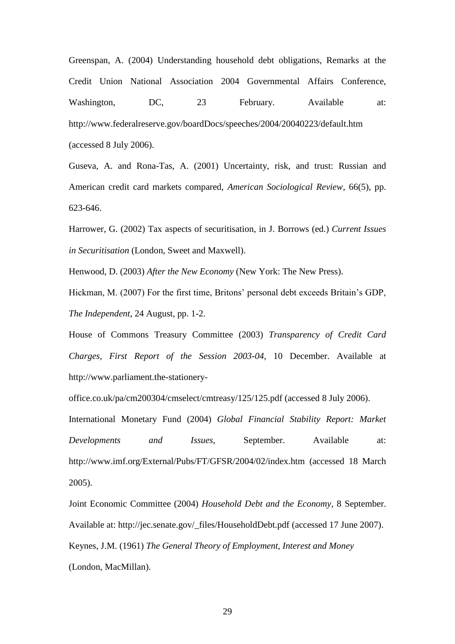Greenspan, A. (2004) Understanding household debt obligations, Remarks at the Credit Union National Association 2004 Governmental Affairs Conference, Washington, DC, 23 February. Available at: http://www.federalreserve.gov/boardDocs/speeches/2004/20040223/default.htm (accessed 8 July 2006).

Guseva, A. and Rona-Tas, A. (2001) Uncertainty, risk, and trust: Russian and American credit card markets compared, *American Sociological Review*, 66(5), pp. 623-646.

Harrower, G. (2002) Tax aspects of securitisation, in J. Borrows (ed.) *Current Issues in Securitisation* (London, Sweet and Maxwell).

Henwood, D. (2003) *After the New Economy* (New York: The New Press).

Hickman, M. (2007) For the first time, Britons' personal debt exceeds Britain's GDP, *The Independent*, 24 August, pp. 1-2.

House of Commons Treasury Committee (2003) *Transparency of Credit Card Charges, First Report of the Session 2003-04*, 10 December. Available at http://www.parliament.the-stationery-

office.co.uk/pa/cm200304/cmselect/cmtreasy/125/125.pdf (accessed 8 July 2006).

International Monetary Fund (2004) *Global Financial Stability Report: Market Developments and Issues*, September. Available at: http://www.imf.org/External/Pubs/FT/GFSR/2004/02/index.htm (accessed 18 March 2005).

Joint Economic Committee (2004) *Household Debt and the Economy*, 8 September. Available at: http://jec.senate.gov/\_files/HouseholdDebt.pdf (accessed 17 June 2007). Keynes, J.M. (1961) *The General Theory of Employment, Interest and Money* (London, MacMillan).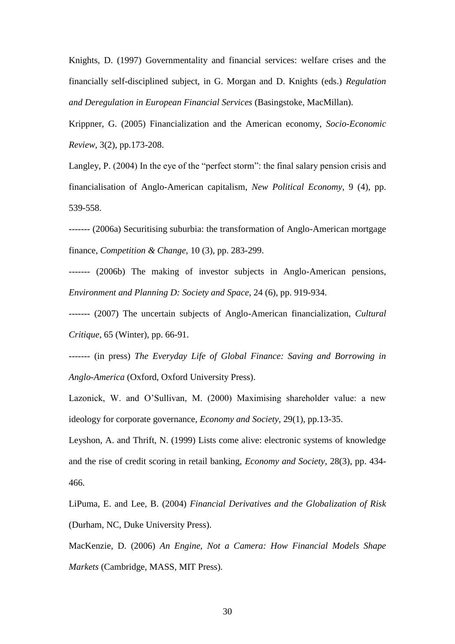Knights, D. (1997) Governmentality and financial services: welfare crises and the financially self-disciplined subject, in G. Morgan and D. Knights (eds.) *Regulation and Deregulation in European Financial Services* (Basingstoke, MacMillan).

Krippner, G. (2005) Financialization and the American economy, *Socio-Economic Review*, 3(2), pp.173-208.

Langley, P. (2004) In the eye of the "perfect storm": the final salary pension crisis and financialisation of Anglo-American capitalism, *New Political Economy*, 9 (4), pp. 539-558.

------- (2006a) Securitising suburbia: the transformation of Anglo-American mortgage finance, *Competition & Change,* 10 (3), pp. 283-299.

------- (2006b) The making of investor subjects in Anglo-American pensions, *Environment and Planning D: Society and Space*, 24 (6), pp. 919-934.

------- (2007) The uncertain subjects of Anglo-American financialization, *Cultural Critique*, 65 (Winter), pp. 66-91.

------- (in press) *The Everyday Life of Global Finance: Saving and Borrowing in Anglo-America* (Oxford, Oxford University Press).

Lazonick, W. and O'Sullivan, M. (2000) Maximising shareholder value: a new ideology for corporate governance, *Economy and Society,* 29(1), pp.13-35.

Leyshon, A. and Thrift, N. (1999) Lists come alive: electronic systems of knowledge and the rise of credit scoring in retail banking, *Economy and Society*, 28(3), pp. 434- 466.

LiPuma, E. and Lee, B. (2004) *Financial Derivatives and the Globalization of Risk* (Durham, NC, Duke University Press).

MacKenzie, D. (2006) *An Engine, Not a Camera: How Financial Models Shape Markets* (Cambridge, MASS, MIT Press).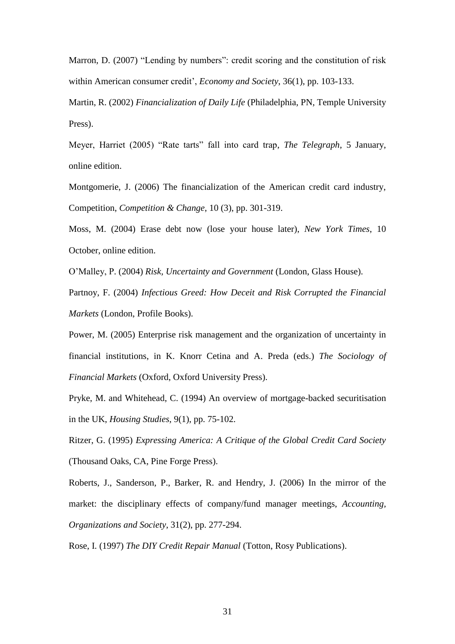Marron, D. (2007) "Lending by numbers": credit scoring and the constitution of risk within American consumer credit', *Economy and Society*, 36(1), pp. 103-133.

Martin, R. (2002) *Financialization of Daily Life* (Philadelphia, PN, Temple University Press).

Meyer, Harriet (2005) "Rate tarts" fall into card trap, *The Telegraph*, 5 January, online edition.

Montgomerie, J. (2006) The financialization of the American credit card industry, Competition, *Competition & Change*, 10 (3), pp. 301-319.

Moss, M. (2004) Erase debt now (lose your house later), *New York Times*, 10 October, online edition.

O'Malley, P. (2004) *Risk, Uncertainty and Government* (London, Glass House).

Partnoy, F. (2004) *Infectious Greed: How Deceit and Risk Corrupted the Financial Markets* (London, Profile Books).

Power, M. (2005) Enterprise risk management and the organization of uncertainty in financial institutions, in K. Knorr Cetina and A. Preda (eds.) *The Sociology of Financial Markets* (Oxford, Oxford University Press).

Pryke, M. and Whitehead, C. (1994) An overview of mortgage-backed securitisation in the UK, *Housing Studies*, 9(1), pp. 75-102.

Ritzer, G. (1995) *Expressing America: A Critique of the Global Credit Card Society* (Thousand Oaks, CA, Pine Forge Press).

Roberts, J., Sanderson, P., Barker, R. and Hendry, J. (2006) In the mirror of the market: the disciplinary effects of company/fund manager meetings, *Accounting, Organizations and Society*, 31(2), pp. 277-294.

Rose, I. (1997) *The DIY Credit Repair Manual* (Totton, Rosy Publications).